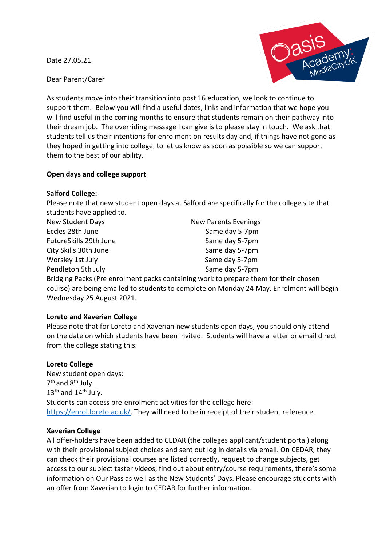Date 27.05.21



Dear Parent/Carer

As students move into their transition into post 16 education, we look to continue to support them. Below you will find a useful dates, links and information that we hope you will find useful in the coming months to ensure that students remain on their pathway into their dream job. The overriding message I can give is to please stay in touch. We ask that students tell us their intentions for enrolment on results day and, if things have not gone as they hoped in getting into college, to let us know as soon as possible so we can support them to the best of our ability.

## **Open days and college support**

#### **Salford College:**

Please note that new student open days at Salford are specifically for the college site that students have applied to.

| New Student Days                                                        | <b>New Parents Evenings</b> |
|-------------------------------------------------------------------------|-----------------------------|
| Eccles 28th June                                                        | Same day 5-7pm              |
| FutureSkills 29th June                                                  | Same day 5-7pm              |
| City Skills 30th June                                                   | Same day 5-7pm              |
| Worsley 1st July                                                        | Same day 5-7pm              |
| Pendleton 5th July                                                      | Same day 5-7pm              |
| Reideing Backs (Dro oprolment packs containing work to propare them for |                             |

Bridging Packs (Pre enrolment packs containing work to prepare them for their chosen course) are being emailed to students to complete on Monday 24 May. Enrolment will begin Wednesday 25 August 2021.

## **Loreto and Xaverian College**

Please note that for Loreto and Xaverian new students open days, you should only attend on the date on which students have been invited. Students will have a letter or email direct from the college stating this.

## **Loreto College**

New student open days: 7<sup>th</sup> and 8<sup>th</sup> July  $13<sup>th</sup>$  and  $14<sup>th</sup>$  July. Students can access pre-enrolment activities for the college here: [https://enrol.loreto.ac.uk/.](https://enrol.loreto.ac.uk/) They will need to be in receipt of their student reference.

#### **Xaverian College**

All offer-holders have been added to CEDAR (the colleges applicant/student portal) along with their provisional subject choices and sent out log in details via email. On CEDAR, they can check their provisional courses are listed correctly, request to change subjects, get access to our subject taster videos, find out about entry/course requirements, there's some information on Our Pass as well as the New Students' Days. Please encourage students with an offer from Xaverian to login to CEDAR for further information.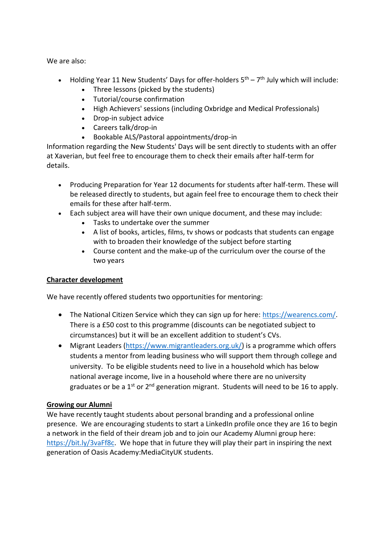We are also:

- Holding Year 11 New Students' Days for offer-holders  $5<sup>th</sup> 7<sup>th</sup>$  July which will include:
	- Three lessons (picked by the students)
	- Tutorial/course confirmation
	- High Achievers' sessions (including Oxbridge and Medical Professionals)
	- Drop-in subject advice
	- Careers talk/drop-in
	- Bookable ALS/Pastoral appointments/drop-in

Information regarding the New Students' Days will be sent directly to students with an offer at Xaverian, but feel free to encourage them to check their emails after half-term for details.

- Producing Preparation for Year 12 documents for students after half-term. These will be released directly to students, but again feel free to encourage them to check their emails for these after half-term.
- Each subject area will have their own unique document, and these may include:
	- Tasks to undertake over the summer
	- A list of books, articles, films, tv shows or podcasts that students can engage with to broaden their knowledge of the subject before starting
	- Course content and the make-up of the curriculum over the course of the two years

# **Character development**

We have recently offered students two opportunities for mentoring:

- The National Citizen Service which they can sign up for here: [https://wearencs.com/.](https://wearencs.com/) There is a £50 cost to this programme (discounts can be negotiated subject to circumstances) but it will be an excellent addition to student's CVs.
- Migrant Leaders [\(https://www.migrantleaders.org.uk/\)](https://www.migrantleaders.org.uk/) is a programme which offers students a mentor from leading business who will support them through college and university. To be eligible students need to live in a household which has below national average income, live in a household where there are no university graduates or be a  $1^{st}$  or  $2^{nd}$  generation migrant. Students will need to be 16 to apply.

# **Growing our Alumni**

We have recently taught students about personal branding and a professional online presence. We are encouraging students to start a LinkedIn profile once they are 16 to begin a network in the field of their dream job and to join our Academy Alumni group here: [https://bit.ly/3vaFf8c.](https://bit.ly/3vaFf8c) We hope that in future they will play their part in inspiring the next generation of Oasis Academy:MediaCityUK students.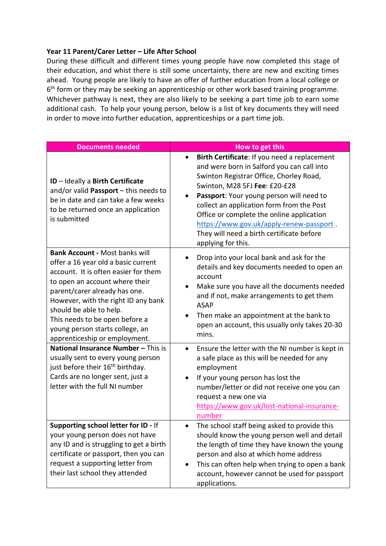### **Year 11 Parent/Carer Letter – Life After School**

During these difficult and different times young people have now completed this stage of their education, and whist there is still some uncertainty, there are new and exciting times ahead. Young people are likely to have an offer of further education from a local college or 6<sup>th</sup> form or they may be seeking an apprenticeship or other work based training programme. Whichever pathway is next, they are also likely to be seeking a part time job to earn some additional cash. To help your young person, below is a list of key documents they will need in order to move into further education, apprenticeships or a part time job.

| <b>Documents needed</b>                                                                                                                                                                                                                                                                                                                                         | How to get this                                                                                                                                                                                                                                                                                                                                                                                                             |
|-----------------------------------------------------------------------------------------------------------------------------------------------------------------------------------------------------------------------------------------------------------------------------------------------------------------------------------------------------------------|-----------------------------------------------------------------------------------------------------------------------------------------------------------------------------------------------------------------------------------------------------------------------------------------------------------------------------------------------------------------------------------------------------------------------------|
| ID - Ideally a Birth Certificate<br>and/or valid Passport - this needs to<br>be in date and can take a few weeks<br>to be returned once an application<br>is submitted                                                                                                                                                                                          | Birth Certificate: If you need a replacement<br>and were born in Salford you can call into<br>Swinton Registrar Office, Chorley Road,<br>Swinton, M28 5FJ Fee: £20-£28<br>Passport: Your young person will need to<br>collect an application form from the Post<br>Office or complete the online application<br>https://www.gov.uk/apply-renew-passport.<br>They will need a birth certificate before<br>applying for this. |
| <b>Bank Account - Most banks will</b><br>offer a 16 year old a basic current<br>account. It is often easier for them<br>to open an account where their<br>parent/carer already has one.<br>However, with the right ID any bank<br>should be able to help.<br>This needs to be open before a<br>young person starts college, an<br>apprenticeship or employment. | Drop into your local bank and ask for the<br>details and key documents needed to open an<br>account<br>Make sure you have all the documents needed<br>٠<br>and if not, make arrangements to get them<br><b>ASAP</b><br>Then make an appointment at the bank to<br>open an account, this usually only takes 20-30<br>mins.                                                                                                   |
| National Insurance Number - This is<br>usually sent to every young person<br>just before their 16 <sup>th</sup> birthday.<br>Cards are no longer sent, just a<br>letter with the full NI number                                                                                                                                                                 | Ensure the letter with the NI number is kept in<br>٠<br>a safe place as this will be needed for any<br>employment<br>If your young person has lost the<br>number/letter or did not receive one you can<br>request a new one via<br>https://www.gov.uk/lost-national-insurance-<br>number                                                                                                                                    |
| Supporting school letter for ID - If<br>your young person does not have<br>any ID and is struggling to get a birth<br>certificate or passport, then you can<br>request a supporting letter from<br>their last school they attended                                                                                                                              | The school staff being asked to provide this<br>should know the young person well and detail<br>the length of time they have known the young<br>person and also at which home address<br>This can often help when trying to open a bank<br>account, however cannot be used for passport<br>applications.                                                                                                                    |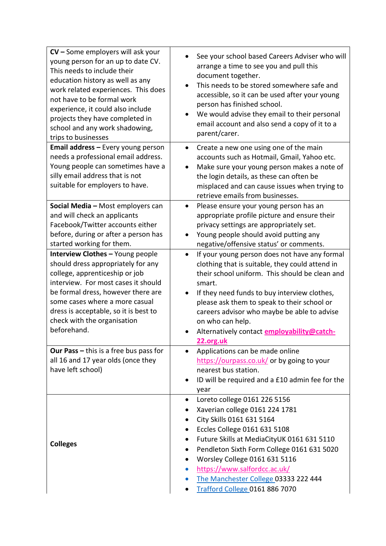| $CV - Some$ employers will ask your<br>young person for an up to date CV.<br>This needs to include their<br>education history as well as any<br>work related experiences. This does<br>not have to be formal work<br>experience, it could also include<br>projects they have completed in<br>school and any work shadowing,<br>trips to businesses | See your school based Careers Adviser who will<br>arrange a time to see you and pull this<br>document together.<br>This needs to be stored somewhere safe and<br>accessible, so it can be used after your young<br>person has finished school.<br>We would advise they email to their personal<br>email account and also send a copy of it to a<br>parent/carer.                                                    |
|----------------------------------------------------------------------------------------------------------------------------------------------------------------------------------------------------------------------------------------------------------------------------------------------------------------------------------------------------|---------------------------------------------------------------------------------------------------------------------------------------------------------------------------------------------------------------------------------------------------------------------------------------------------------------------------------------------------------------------------------------------------------------------|
| Email address - Every young person<br>needs a professional email address.<br>Young people can sometimes have a<br>silly email address that is not<br>suitable for employers to have.                                                                                                                                                               | Create a new one using one of the main<br>$\bullet$<br>accounts such as Hotmail, Gmail, Yahoo etc.<br>Make sure your young person makes a note of<br>$\bullet$<br>the login details, as these can often be<br>misplaced and can cause issues when trying to<br>retrieve emails from businesses.                                                                                                                     |
| Social Media - Most employers can<br>and will check an applicants<br>Facebook/Twitter accounts either<br>before, during or after a person has<br>started working for them.                                                                                                                                                                         | Please ensure your young person has an<br>$\bullet$<br>appropriate profile picture and ensure their<br>privacy settings are appropriately set.<br>Young people should avoid putting any<br>$\bullet$<br>negative/offensive status' or comments.                                                                                                                                                                     |
| Interview Clothes - Young people<br>should dress appropriately for any<br>college, apprenticeship or job<br>interview. For most cases it should<br>be formal dress, however there are<br>some cases where a more casual<br>dress is acceptable, so it is best to<br>check with the organisation<br>beforehand.                                     | If your young person does not have any formal<br>$\bullet$<br>clothing that is suitable, they could attend in<br>their school uniform. This should be clean and<br>smart.<br>If they need funds to buy interview clothes,<br>$\bullet$<br>please ask them to speak to their school or<br>careers advisor who maybe be able to advise<br>on who can help.<br>Alternatively contact employability@catch-<br>22.org.uk |
| Our Pass $-$ this is a free bus pass for<br>all 16 and 17 year olds (once they<br>have left school)                                                                                                                                                                                                                                                | Applications can be made online<br>$\bullet$<br>https://ourpass.co.uk/ or by going to your<br>nearest bus station.<br>ID will be required and a £10 admin fee for the<br>year                                                                                                                                                                                                                                       |
| <b>Colleges</b>                                                                                                                                                                                                                                                                                                                                    | Loreto college 0161 226 5156<br>$\bullet$<br>Xaverian college 0161 224 1781<br>٠<br>City Skills 0161 631 5164<br>٠<br>Eccles College 0161 631 5108<br>Future Skills at MediaCityUK 0161 631 5110<br>٠<br>Pendleton Sixth Form College 0161 631 5020<br>٠<br>Worsley College 0161 631 5116<br>https://www.salfordcc.ac.uk/<br>$\bullet$<br>The Manchester College 03333 222 444<br>Trafford College 0161 886 7070    |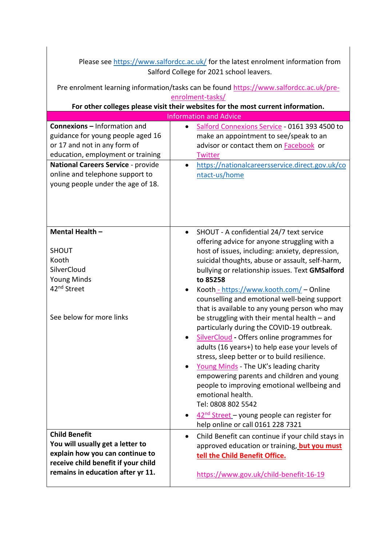| Please see https://www.salfordcc.ac.uk/ for the latest enrolment information from |  |
|-----------------------------------------------------------------------------------|--|
| Salford College for 2021 school leavers.                                          |  |

Pre enrolment learning information/tasks can be found [https://www.salfordcc.ac.uk/pre](https://www.salfordcc.ac.uk/pre-enrolment-tasks/)[enrolment-tasks/](https://www.salfordcc.ac.uk/pre-enrolment-tasks/)

# **For other colleges please visit their websites for the most current information.**

| <b>Information and Advice</b>                                                                                                        |                                                                                                                                                                                                                                                                                                                                                                                                                                                                                                                                                                                                                                                                                                                                                                                                                                                                                                                                                                       |  |
|--------------------------------------------------------------------------------------------------------------------------------------|-----------------------------------------------------------------------------------------------------------------------------------------------------------------------------------------------------------------------------------------------------------------------------------------------------------------------------------------------------------------------------------------------------------------------------------------------------------------------------------------------------------------------------------------------------------------------------------------------------------------------------------------------------------------------------------------------------------------------------------------------------------------------------------------------------------------------------------------------------------------------------------------------------------------------------------------------------------------------|--|
| <b>Connexions - Information and</b>                                                                                                  | Salford Connexions Service - 0161 393 4500 to                                                                                                                                                                                                                                                                                                                                                                                                                                                                                                                                                                                                                                                                                                                                                                                                                                                                                                                         |  |
| guidance for young people aged 16                                                                                                    | make an appointment to see/speak to an                                                                                                                                                                                                                                                                                                                                                                                                                                                                                                                                                                                                                                                                                                                                                                                                                                                                                                                                |  |
| or 17 and not in any form of                                                                                                         | advisor or contact them on <b>Facebook</b> or                                                                                                                                                                                                                                                                                                                                                                                                                                                                                                                                                                                                                                                                                                                                                                                                                                                                                                                         |  |
| education, employment or training                                                                                                    | Twitter                                                                                                                                                                                                                                                                                                                                                                                                                                                                                                                                                                                                                                                                                                                                                                                                                                                                                                                                                               |  |
| National Careers Service - provide                                                                                                   | https://nationalcareersservice.direct.gov.uk/co                                                                                                                                                                                                                                                                                                                                                                                                                                                                                                                                                                                                                                                                                                                                                                                                                                                                                                                       |  |
| online and telephone support to                                                                                                      | $\bullet$                                                                                                                                                                                                                                                                                                                                                                                                                                                                                                                                                                                                                                                                                                                                                                                                                                                                                                                                                             |  |
| young people under the age of 18.                                                                                                    | ntact-us/home                                                                                                                                                                                                                                                                                                                                                                                                                                                                                                                                                                                                                                                                                                                                                                                                                                                                                                                                                         |  |
| Mental Health -<br><b>SHOUT</b><br>Kooth<br>SilverCloud<br><b>Young Minds</b><br>42 <sup>nd</sup> Street<br>See below for more links | SHOUT - A confidential 24/7 text service<br>$\bullet$<br>offering advice for anyone struggling with a<br>host of issues, including: anxiety, depression,<br>suicidal thoughts, abuse or assault, self-harm,<br>bullying or relationship issues. Text GMSalford<br>to 85258<br>Kooth - https://www.kooth.com/ - Online<br>counselling and emotional well-being support<br>that is available to any young person who may<br>be struggling with their mental health - and<br>particularly during the COVID-19 outbreak.<br>SilverCloud - Offers online programmes for<br>$\bullet$<br>adults (16 years+) to help ease your levels of<br>stress, sleep better or to build resilience.<br>Young Minds - The UK's leading charity<br>$\bullet$<br>empowering parents and children and young<br>people to improving emotional wellbeing and<br>emotional health.<br>Tel: 0808 802 5542<br>$42nd$ Street – young people can register for<br>help online or call 0161 228 7321 |  |
| <b>Child Benefit</b>                                                                                                                 | Child Benefit can continue if your child stays in                                                                                                                                                                                                                                                                                                                                                                                                                                                                                                                                                                                                                                                                                                                                                                                                                                                                                                                     |  |
| You will usually get a letter to                                                                                                     | $\bullet$                                                                                                                                                                                                                                                                                                                                                                                                                                                                                                                                                                                                                                                                                                                                                                                                                                                                                                                                                             |  |
| explain how you can continue to                                                                                                      | approved education or training, but you must                                                                                                                                                                                                                                                                                                                                                                                                                                                                                                                                                                                                                                                                                                                                                                                                                                                                                                                          |  |
| receive child benefit if your child                                                                                                  | tell the Child Benefit Office.                                                                                                                                                                                                                                                                                                                                                                                                                                                                                                                                                                                                                                                                                                                                                                                                                                                                                                                                        |  |
| remains in education after yr 11.                                                                                                    | https://www.gov.uk/child-benefit-16-19                                                                                                                                                                                                                                                                                                                                                                                                                                                                                                                                                                                                                                                                                                                                                                                                                                                                                                                                |  |